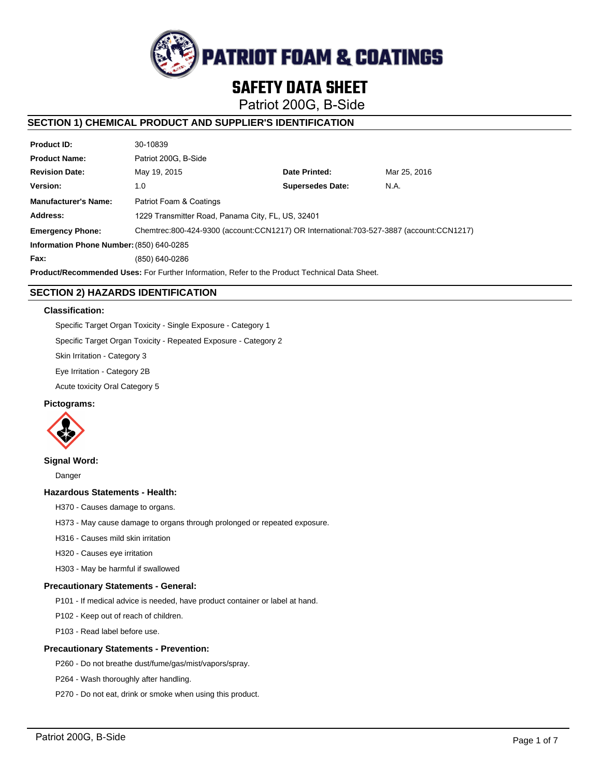

# **SAFETY DATA SHEET**

Patriot 200G, B-Side

# **SECTION 1) CHEMICAL PRODUCT AND SUPPLIER'S IDENTIFICATION**

| <b>Product ID:</b>                                                                                   | 30-10839                                                                                |                         |              |  |  |
|------------------------------------------------------------------------------------------------------|-----------------------------------------------------------------------------------------|-------------------------|--------------|--|--|
| <b>Product Name:</b>                                                                                 | Patriot 200G. B-Side                                                                    |                         |              |  |  |
| <b>Revision Date:</b>                                                                                | May 19, 2015                                                                            | Date Printed:           | Mar 25, 2016 |  |  |
| Version:                                                                                             | 1.0                                                                                     | <b>Supersedes Date:</b> | N.A.         |  |  |
| <b>Manufacturer's Name:</b>                                                                          | Patriot Foam & Coatings                                                                 |                         |              |  |  |
| Address:                                                                                             | 1229 Transmitter Road, Panama City, FL, US, 32401                                       |                         |              |  |  |
| <b>Emergency Phone:</b>                                                                              | Chemtrec:800-424-9300 (account:CCN1217) OR International:703-527-3887 (account:CCN1217) |                         |              |  |  |
| Information Phone Number: (850) 640-0285                                                             |                                                                                         |                         |              |  |  |
| Fax:                                                                                                 | (850) 640-0286                                                                          |                         |              |  |  |
| <b>Product/Recommended Uses:</b> For Further Information, Refer to the Product Technical Data Sheet. |                                                                                         |                         |              |  |  |

# **SECTION 2) HAZARDS IDENTIFICATION**

### **Classification:**

Specific Target Organ Toxicity - Single Exposure - Category 1

Specific Target Organ Toxicity - Repeated Exposure - Category 2

Skin Irritation - Category 3

Eye Irritation - Category 2B

Acute toxicity Oral Category 5

### **Pictograms:**



### **Signal Word:**

Danger

### **Hazardous Statements - Health:**

H370 - Causes damage to organs.

H373 - May cause damage to organs through prolonged or repeated exposure.

- H316 Causes mild skin irritation
- H320 Causes eye irritation

H303 - May be harmful if swallowed

### **Precautionary Statements - General:**

P101 - If medical advice is needed, have product container or label at hand.

P102 - Keep out of reach of children.

P103 - Read label before use.

### **Precautionary Statements - Prevention:**

P260 - Do not breathe dust/fume/gas/mist/vapors/spray.

P264 - Wash thoroughly after handling.

P270 - Do not eat, drink or smoke when using this product.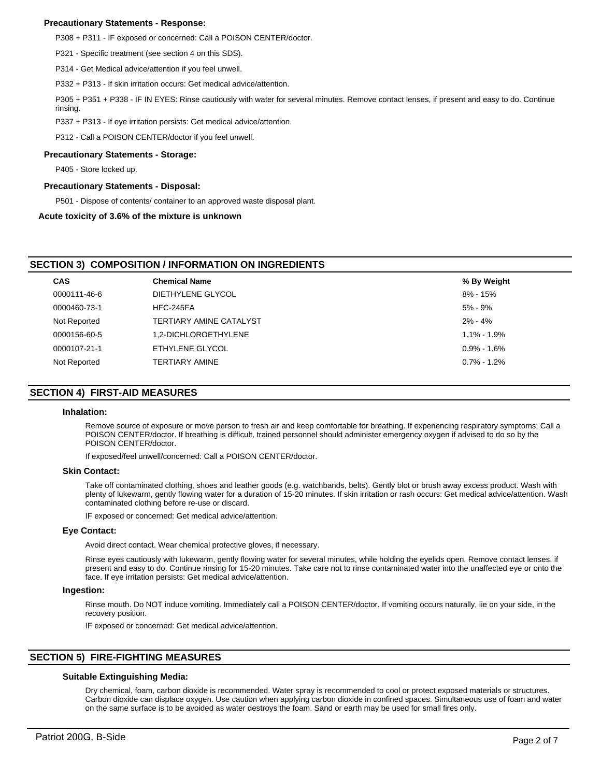### **Precautionary Statements - Response:**

P308 + P311 - IF exposed or concerned: Call a POISON CENTER/doctor.

P321 - Specific treatment (see section 4 on this SDS).

P314 - Get Medical advice/attention if you feel unwell.

P332 + P313 - If skin irritation occurs: Get medical advice/attention.

P305 + P351 + P338 - IF IN EYES: Rinse cautiously with water for several minutes. Remove contact lenses, if present and easy to do. Continue rinsing.

P337 + P313 - If eye irritation persists: Get medical advice/attention.

P312 - Call a POISON CENTER/doctor if you feel unwell.

### **Precautionary Statements - Storage:**

P405 - Store locked up.

### **Precautionary Statements - Disposal:**

P501 - Dispose of contents/ container to an approved waste disposal plant.

### **Acute toxicity of 3.6% of the mixture is unknown**

## **SECTION 3) COMPOSITION / INFORMATION ON INGREDIENTS**

| <b>CAS</b>   | <b>Chemical Name</b>    | % By Weight     |
|--------------|-------------------------|-----------------|
| 0000111-46-6 | DIETHYLENE GLYCOL       | 8% - 15%        |
| 0000460-73-1 | HFC-245FA               | $5\%$ - 9%      |
| Not Reported | TERTIARY AMINE CATALYST | $2\% - 4\%$     |
| 0000156-60-5 | 1.2-DICHLOROETHYLENE    | $1.1\% - 1.9\%$ |
| 0000107-21-1 | ETHYLENE GLYCOL         | $0.9\% - 1.6\%$ |
| Not Reported | TERTIARY AMINE          | $0.7\%$ - 1.2%  |
|              |                         |                 |

### **SECTION 4) FIRST-AID MEASURES**

#### **Inhalation:**

Remove source of exposure or move person to fresh air and keep comfortable for breathing. If experiencing respiratory symptoms: Call a POISON CENTER/doctor. If breathing is difficult, trained personnel should administer emergency oxygen if advised to do so by the POISON CENTER/doctor.

If exposed/feel unwell/concerned: Call a POISON CENTER/doctor.

### **Skin Contact:**

Take off contaminated clothing, shoes and leather goods (e.g. watchbands, belts). Gently blot or brush away excess product. Wash with plenty of lukewarm, gently flowing water for a duration of 15-20 minutes. If skin irritation or rash occurs: Get medical advice/attention. Wash contaminated clothing before re-use or discard.

IF exposed or concerned: Get medical advice/attention.

### **Eye Contact:**

Avoid direct contact. Wear chemical protective gloves, if necessary.

Rinse eyes cautiously with lukewarm, gently flowing water for several minutes, while holding the eyelids open. Remove contact lenses, if present and easy to do. Continue rinsing for 15-20 minutes. Take care not to rinse contaminated water into the unaffected eye or onto the face. If eye irritation persists: Get medical advice/attention.

### **Ingestion:**

Rinse mouth. Do NOT induce vomiting. Immediately call a POISON CENTER/doctor. If vomiting occurs naturally, lie on your side, in the recovery position.

IF exposed or concerned: Get medical advice/attention.

# **SECTION 5) FIRE-FIGHTING MEASURES**

### **Suitable Extinguishing Media:**

Dry chemical, foam, carbon dioxide is recommended. Water spray is recommended to cool or protect exposed materials or structures. Carbon dioxide can displace oxygen. Use caution when applying carbon dioxide in confined spaces. Simultaneous use of foam and water on the same surface is to be avoided as water destroys the foam. Sand or earth may be used for small fires only.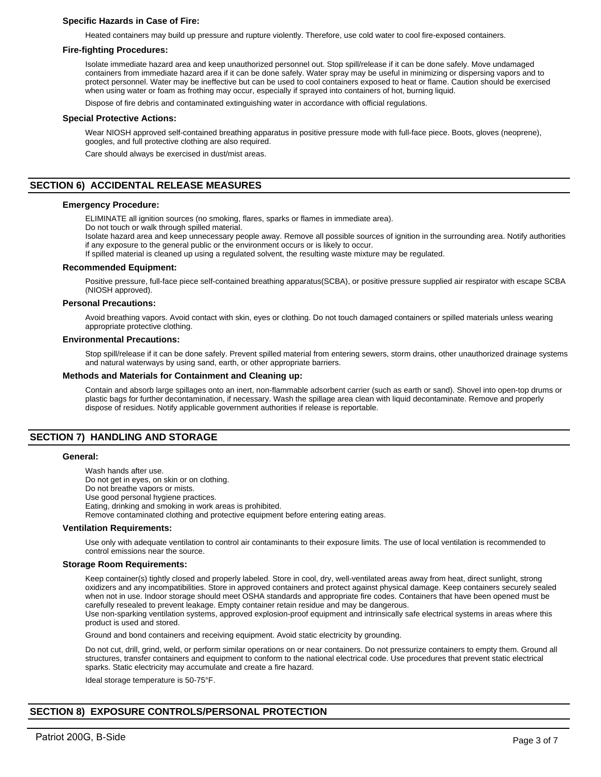### **Specific Hazards in Case of Fire:**

Heated containers may build up pressure and rupture violently. Therefore, use cold water to cool fire-exposed containers.

#### **Fire-fighting Procedures:**

Isolate immediate hazard area and keep unauthorized personnel out. Stop spill/release if it can be done safely. Move undamaged containers from immediate hazard area if it can be done safely. Water spray may be useful in minimizing or dispersing vapors and to protect personnel. Water may be ineffective but can be used to cool containers exposed to heat or flame. Caution should be exercised when using water or foam as frothing may occur, especially if sprayed into containers of hot, burning liquid.

Dispose of fire debris and contaminated extinguishing water in accordance with official regulations.

#### **Special Protective Actions:**

Wear NIOSH approved self-contained breathing apparatus in positive pressure mode with full-face piece. Boots, gloves (neoprene), googles, and full protective clothing are also required.

Care should always be exercised in dust/mist areas.

### **SECTION 6) ACCIDENTAL RELEASE MEASURES**

#### **Emergency Procedure:**

ELIMINATE all ignition sources (no smoking, flares, sparks or flames in immediate area).

Do not touch or walk through spilled material.

Isolate hazard area and keep unnecessary people away. Remove all possible sources of ignition in the surrounding area. Notify authorities if any exposure to the general public or the environment occurs or is likely to occur.

If spilled material is cleaned up using a regulated solvent, the resulting waste mixture may be regulated.

#### **Recommended Equipment:**

Positive pressure, full-face piece self-contained breathing apparatus(SCBA), or positive pressure supplied air respirator with escape SCBA (NIOSH approved).

#### **Personal Precautions:**

Avoid breathing vapors. Avoid contact with skin, eyes or clothing. Do not touch damaged containers or spilled materials unless wearing appropriate protective clothing.

### **Environmental Precautions:**

Stop spill/release if it can be done safely. Prevent spilled material from entering sewers, storm drains, other unauthorized drainage systems and natural waterways by using sand, earth, or other appropriate barriers.

#### **Methods and Materials for Containment and Cleaning up:**

Contain and absorb large spillages onto an inert, non-flammable adsorbent carrier (such as earth or sand). Shovel into open-top drums or plastic bags for further decontamination, if necessary. Wash the spillage area clean with liquid decontaminate. Remove and properly dispose of residues. Notify applicable government authorities if release is reportable.

### **SECTION 7) HANDLING AND STORAGE**

#### **General:**

Wash hands after use. Do not get in eyes, on skin or on clothing. Do not breathe vapors or mists. Use good personal hygiene practices. Eating, drinking and smoking in work areas is prohibited. Remove contaminated clothing and protective equipment before entering eating areas.

#### **Ventilation Requirements:**

Use only with adequate ventilation to control air contaminants to their exposure limits. The use of local ventilation is recommended to control emissions near the source.

#### **Storage Room Requirements:**

Keep container(s) tightly closed and properly labeled. Store in cool, dry, well-ventilated areas away from heat, direct sunlight, strong oxidizers and any incompatibilities. Store in approved containers and protect against physical damage. Keep containers securely sealed when not in use. Indoor storage should meet OSHA standards and appropriate fire codes. Containers that have been opened must be carefully resealed to prevent leakage. Empty container retain residue and may be dangerous.

Use non-sparking ventilation systems, approved explosion-proof equipment and intrinsically safe electrical systems in areas where this product is used and stored.

Ground and bond containers and receiving equipment. Avoid static electricity by grounding.

Do not cut, drill, grind, weld, or perform similar operations on or near containers. Do not pressurize containers to empty them. Ground all structures, transfer containers and equipment to conform to the national electrical code. Use procedures that prevent static electrical sparks. Static electricity may accumulate and create a fire hazard.

Ideal storage temperature is 50-75°F.

### **SECTION 8) EXPOSURE CONTROLS/PERSONAL PROTECTION**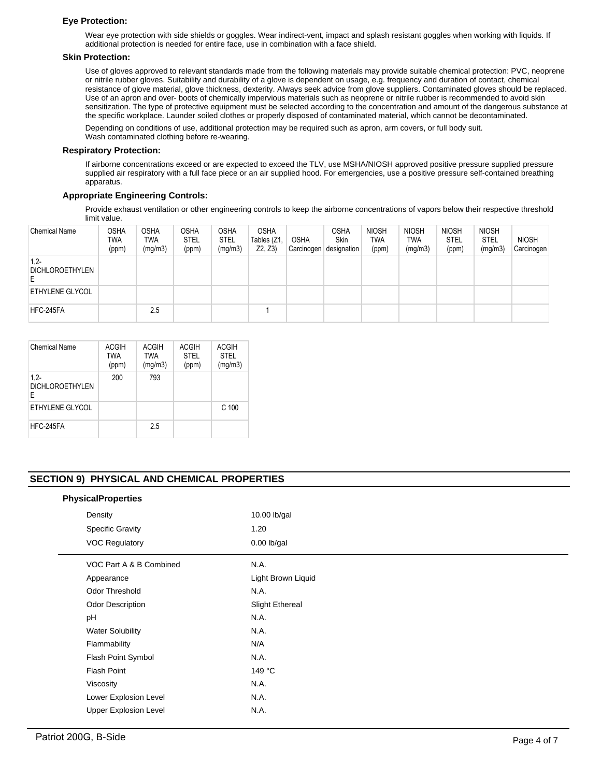### **Eye Protection:**

Wear eye protection with side shields or goggles. Wear indirect-vent, impact and splash resistant goggles when working with liquids. If additional protection is needed for entire face, use in combination with a face shield.

### **Skin Protection:**

Use of gloves approved to relevant standards made from the following materials may provide suitable chemical protection: PVC, neoprene or nitrile rubber gloves. Suitability and durability of a glove is dependent on usage, e.g. frequency and duration of contact, chemical resistance of glove material, glove thickness, dexterity. Always seek advice from glove suppliers. Contaminated gloves should be replaced. Use of an apron and over- boots of chemically impervious materials such as neoprene or nitrile rubber is recommended to avoid skin sensitization. The type of protective equipment must be selected according to the concentration and amount of the dangerous substance at the specific workplace. Launder soiled clothes or properly disposed of contaminated material, which cannot be decontaminated.

Depending on conditions of use, additional protection may be required such as apron, arm covers, or full body suit. Wash contaminated clothing before re-wearing.

### **Respiratory Protection:**

If airborne concentrations exceed or are expected to exceed the TLV, use MSHA/NIOSH approved positive pressure supplied pressure supplied air respiratory with a full face piece or an air supplied hood. For emergencies, use a positive pressure self-contained breathing apparatus.

### **Appropriate Engineering Controls:**

Provide exhaust ventilation or other engineering controls to keep the airborne concentrations of vapors below their respective threshold limit value.

| <b>Chemical Name</b>             | <b>OSHA</b><br>twa<br>(ppm) | <b>OSHA</b><br>TWA<br>(mg/m3) | <b>OSHA</b><br><b>STEL</b><br>(ppm) | <b>OSHA</b><br><b>STEL</b><br>(mg/m3) | <b>OSHA</b><br>Tables (Z1<br>Z2, Z3) | <b>OSHA</b><br>⊩Carcinogen ! | <b>OSHA</b><br><b>Skin</b><br>designation | <b>NIOSH</b><br><b>TWA</b><br>(ppm) | <b>NIOSH</b><br><b>TWA</b><br>(mg/m3) | <b>NIOSH</b><br><b>STEL</b><br>(ppm) | <b>NIOSH</b><br><b>STEL</b><br>(mg/m3) | <b>NIOSH</b><br>Carcinogen |
|----------------------------------|-----------------------------|-------------------------------|-------------------------------------|---------------------------------------|--------------------------------------|------------------------------|-------------------------------------------|-------------------------------------|---------------------------------------|--------------------------------------|----------------------------------------|----------------------------|
| $1,2-$<br><b>DICHLOROETHYLEN</b> |                             |                               |                                     |                                       |                                      |                              |                                           |                                     |                                       |                                      |                                        |                            |
| ETHYLENE GLYCOL                  |                             |                               |                                     |                                       |                                      |                              |                                           |                                     |                                       |                                      |                                        |                            |
| HFC-245FA                        |                             | 2.5                           |                                     |                                       |                                      |                              |                                           |                                     |                                       |                                      |                                        |                            |

| Chemical Name                         | <b>ACGIH</b><br><b>TWA</b><br>(ppm) | ACGIH<br><b>TWA</b><br>(mg/m3) | <b>ACGIH</b><br><b>STEL</b><br>(ppm) | <b>ACGIH</b><br><b>STEL</b><br>(mg/m3) |
|---------------------------------------|-------------------------------------|--------------------------------|--------------------------------------|----------------------------------------|
| $1,2-$<br><b>DICHLOROETHYLEN</b><br>E | 200                                 | 793                            |                                      |                                        |
| ETHYLENE GLYCOL                       |                                     |                                |                                      | C <sub>100</sub>                       |
| HFC-245FA                             |                                     | 2.5                            |                                      |                                        |

### **SECTION 9) PHYSICAL AND CHEMICAL PROPERTIES**

| <b>PhysicalProperties</b>    |                        |
|------------------------------|------------------------|
| Density                      | 10.00 lb/gal           |
| <b>Specific Gravity</b>      | 1.20                   |
| <b>VOC Regulatory</b>        | $0.00$ lb/gal          |
| VOC Part A & B Combined      | N.A.                   |
| Appearance                   | Light Brown Liquid     |
| Odor Threshold               | N.A.                   |
| Odor Description             | <b>Slight Ethereal</b> |
| pH                           | N.A.                   |
| <b>Water Solubility</b>      | N.A.                   |
| Flammability                 | N/A                    |
| Flash Point Symbol           | N.A.                   |
| Flash Point                  | 149 °C                 |
| Viscosity                    | N.A.                   |
| Lower Explosion Level        | N.A.                   |
| <b>Upper Explosion Level</b> | N.A.                   |
|                              |                        |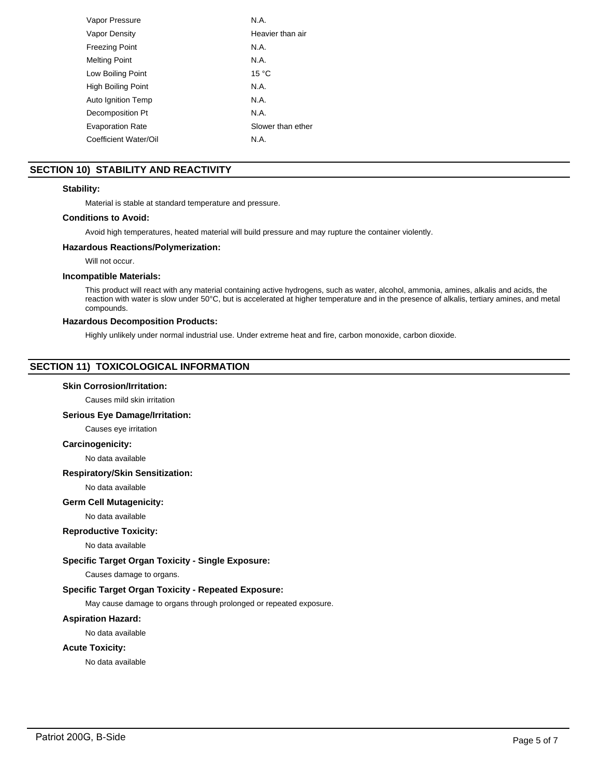| Vapor Pressure          | N.A.              |
|-------------------------|-------------------|
| Vapor Density           | Heavier than air  |
| <b>Freezing Point</b>   | N.A.              |
| <b>Melting Point</b>    | N.A.              |
| Low Boiling Point       | 15 °C             |
| High Boiling Point      | N.A.              |
| Auto Ignition Temp      | N.A.              |
| Decomposition Pt        | N.A.              |
| <b>Evaporation Rate</b> | Slower than ether |
| Coefficient Water/Oil   | N.A.              |
|                         |                   |

# **SECTION 10) STABILITY AND REACTIVITY**

### **Stability:**

Material is stable at standard temperature and pressure.

# **Conditions to Avoid:**

Avoid high temperatures, heated material will build pressure and may rupture the container violently.

## **Hazardous Reactions/Polymerization:**

Will not occur.

### **Incompatible Materials:**

This product will react with any material containing active hydrogens, such as water, alcohol, ammonia, amines, alkalis and acids, the reaction with water is slow under 50°C, but is accelerated at higher temperature and in the presence of alkalis, tertiary amines, and metal compounds.

### **Hazardous Decomposition Products:**

Highly unlikely under normal industrial use. Under extreme heat and fire, carbon monoxide, carbon dioxide.

# **SECTION 11) TOXICOLOGICAL INFORMATION**

### **Skin Corrosion/Irritation:**

Causes mild skin irritation

# **Serious Eye Damage/Irritation:**

Causes eye irritation

### **Carcinogenicity:**

No data available

### **Respiratory/Skin Sensitization:**

No data available

### **Germ Cell Mutagenicity:**

No data available

#### **Reproductive Toxicity:**

No data available

### **Specific Target Organ Toxicity - Single Exposure:**

Causes damage to organs.

### **Specific Target Organ Toxicity - Repeated Exposure:**

May cause damage to organs through prolonged or repeated exposure.

#### **Aspiration Hazard:**

No data available

# **Acute Toxicity:**

No data available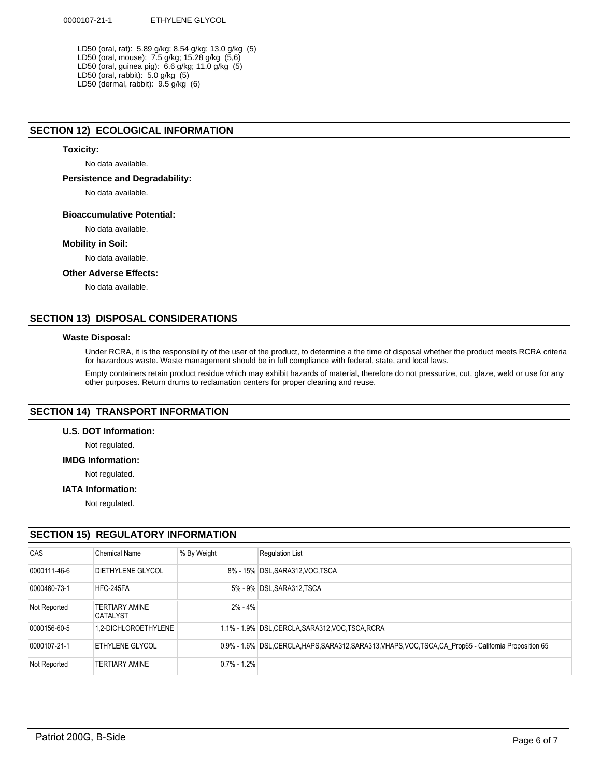LD50 (oral, rat): 5.89 g/kg; 8.54 g/kg; 13.0 g/kg (5) LD50 (oral, mouse): 7.5 g/kg; 15.28 g/kg (5,6) LD50 (oral, guinea pig): 6.6 g/kg; 11.0 g/kg (5) LD50 (oral, rabbit): 5.0 g/kg (5) LD50 (dermal, rabbit): 9.5 g/kg (6)

# **SECTION 12) ECOLOGICAL INFORMATION**

# **Toxicity:**

No data available.

### **Persistence and Degradability:**

No data available.

### **Bioaccumulative Potential:**

No data available.

### **Mobility in Soil:**

No data available.

# **Other Adverse Effects:**

No data available.

# **SECTION 13) DISPOSAL CONSIDERATIONS**

## **Waste Disposal:**

Under RCRA, it is the responsibility of the user of the product, to determine a the time of disposal whether the product meets RCRA criteria for hazardous waste. Waste management should be in full compliance with federal, state, and local laws.

Empty containers retain product residue which may exhibit hazards of material, therefore do not pressurize, cut, glaze, weld or use for any other purposes. Return drums to reclamation centers for proper cleaning and reuse.

# **SECTION 14) TRANSPORT INFORMATION**

# **U.S. DOT Information:**

Not regulated.

# **IMDG Information:**

Not regulated.

### **IATA Information:**

Not regulated.

# **SECTION 15) REGULATORY INFORMATION**

| CAS          | Chemical Name                            | % By Weight     | <b>Regulation List</b>                                                                                   |
|--------------|------------------------------------------|-----------------|----------------------------------------------------------------------------------------------------------|
| 0000111-46-6 | <b>DIETHYLENE GLYCOL</b>                 |                 | 8% - 15% DSL, SARA312, VOC, TSCA                                                                         |
| 0000460-73-1 | HFC-245FA                                |                 | 5% - 9% DSL, SARA312, TSCA                                                                               |
| Not Reported | <b>TERTIARY AMINE</b><br><b>CATALYST</b> | $2\% - 4\%$     |                                                                                                          |
| 0000156-60-5 | 1.2-DICHLOROETHYLENE                     |                 | 1.1% - 1.9% DSL, CERCLA, SARA312, VOC, TSCA, RCRA                                                        |
| 0000107-21-1 | <b>ETHYLENE GLYCOL</b>                   |                 | 0.9% - 1.6% DSL, CERCLA, HAPS, SARA312, SARA313, VHAPS, VOC, TSCA, CA Prop65 - California Proposition 65 |
| Not Reported | <b>TERTIARY AMINE</b>                    | $0.7\% - 1.2\%$ |                                                                                                          |